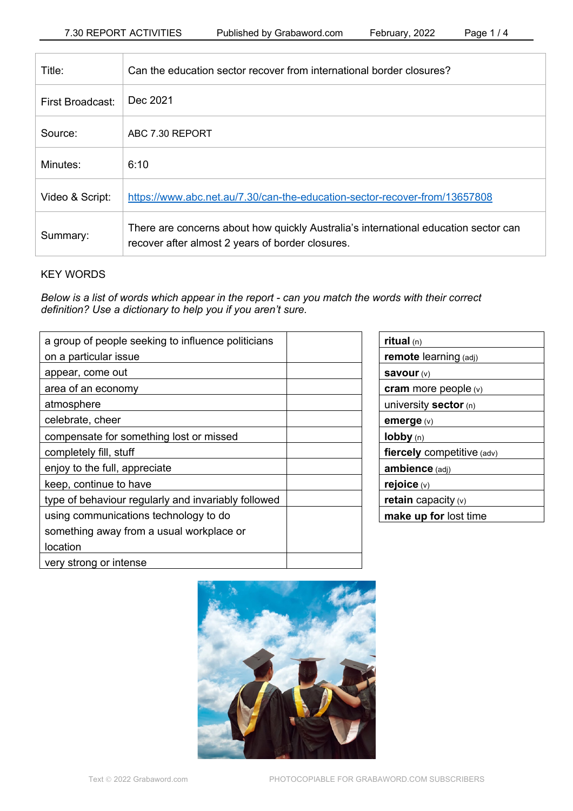| Title:           | Can the education sector recover from international border closures?                                                                    |
|------------------|-----------------------------------------------------------------------------------------------------------------------------------------|
| First Broadcast: | Dec 2021                                                                                                                                |
| Source:          | ABC 7.30 REPORT                                                                                                                         |
| Minutes:         | 6:10                                                                                                                                    |
| Video & Script:  | https://www.abc.net.au/7.30/can-the-education-sector-recover-from/13657808                                                              |
| Summary:         | There are concerns about how quickly Australia's international education sector can<br>recover after almost 2 years of border closures. |

# KEY WORDS

*Below is a list of words which appear in the report - can you match the words with their correct definition? Use a dictionary to help you if you aren't sure.*

| a group of people seeking to influence politicians  |  |
|-----------------------------------------------------|--|
| on a particular issue                               |  |
| appear, come out                                    |  |
| area of an economy                                  |  |
| atmosphere                                          |  |
| celebrate, cheer                                    |  |
| compensate for something lost or missed             |  |
| completely fill, stuff                              |  |
| enjoy to the full, appreciate                       |  |
| keep, continue to have                              |  |
| type of behaviour regularly and invariably followed |  |
| using communications technology to do               |  |
| something away from a usual workplace or            |  |
| location                                            |  |
| very strong or intense                              |  |

| ritual $(n)$                 |
|------------------------------|
| remote learning (adj)        |
| Savour $(v)$                 |
| cram more people $(v)$       |
| university sector $(n)$      |
| emerge $(v)$                 |
| lobby (n)                    |
| fiercely competitive (adv)   |
| ambience (adj)               |
| rejoice (v)                  |
| <b>retain</b> capacity $(v)$ |
| make up for lost time        |

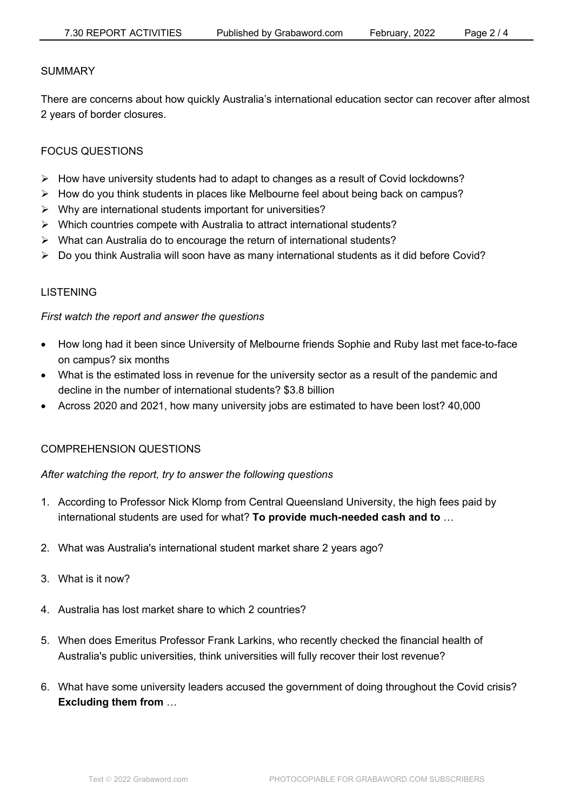### SUMMARY

There are concerns about how quickly Australia's international education sector can recover after almost 2 years of border closures.

### FOCUS QUESTIONS

- $\triangleright$  How have university students had to adapt to changes as a result of Covid lockdowns?
- $\triangleright$  How do you think students in places like Melbourne feel about being back on campus?
- $\triangleright$  Why are international students important for universities?
- $\triangleright$  Which countries compete with Australia to attract international students?
- $\triangleright$  What can Australia do to encourage the return of international students?
- $\triangleright$  Do you think Australia will soon have as many international students as it did before Covid?

### LISTENING

### *First watch the report and answer the questions*

- How long had it been since University of Melbourne friends Sophie and Ruby last met face-to-face on campus? six months
- What is the estimated loss in revenue for the university sector as a result of the pandemic and decline in the number of international students? \$3.8 billion
- Across 2020 and 2021, how many university jobs are estimated to have been lost? 40,000

# COMPREHENSION QUESTIONS

### *After watching the report, try to answer the following questions*

- 1. According to Professor Nick Klomp from Central Queensland University, the high fees paid by international students are used for what? **To provide much-needed cash and to** …
- 2. What was Australia's international student market share 2 years ago?
- 3. What is it now?
- 4. Australia has lost market share to which 2 countries?
- 5. When does Emeritus Professor Frank Larkins, who recently checked the financial health of Australia's public universities, think universities will fully recover their lost revenue?
- 6. What have some university leaders accused the government of doing throughout the Covid crisis? **Excluding them from** …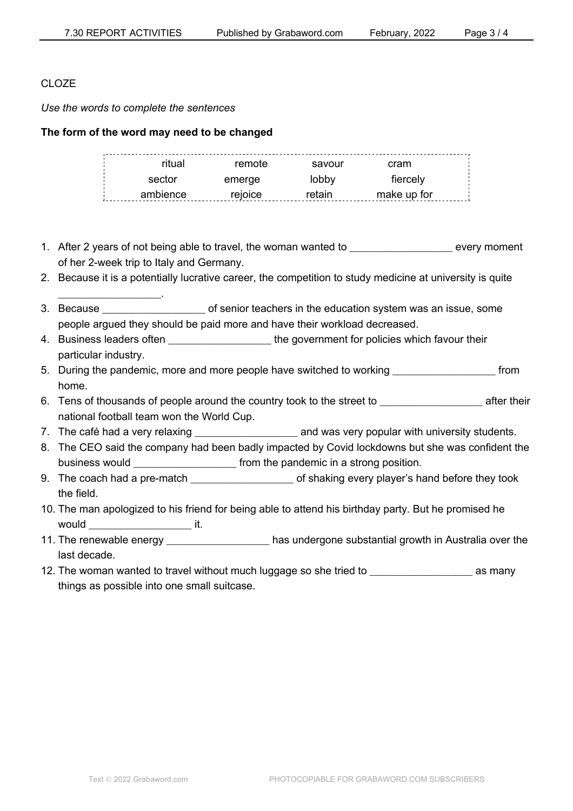# CLOZE

*Use the words to complete the sentences*

\_\_\_\_\_\_\_\_\_\_\_\_\_\_\_\_\_\_\_\_\_\_\_\_.

**The form of the word may need to be changed**

| ritual   | remote  | savour | cram        |  |
|----------|---------|--------|-------------|--|
| sector   | emerge  | lobby  | fiercely    |  |
| ambience | rejoice | retain | make up for |  |

- 1. After 2 years of not being able to travel, the woman wanted to example were revery moment of her 2-week trip to Italy and Germany.
- 2. Because it is a potentially lucrative career, the competition to study medicine at university is quite
- 3. Because \_\_\_\_\_\_\_\_\_\_\_\_\_\_\_\_\_\_\_\_\_\_\_\_ of senior teachers in the education system was an issue, some people argued they should be paid more and have their workload decreased.
- 4. Business leaders often **Exercise 20** the government for policies which favour their particular industry.
- 5. During the pandemic, more and more people have switched to working \_\_\_\_\_\_\_\_\_\_\_\_\_\_\_\_\_\_\_\_\_\_\_\_ from home.
- 6. Tens of thousands of people around the country took to the street to example after their national football team won the World Cup.
- 7. The café had a very relaxing **the summan variable and was very popular with university students.**
- 8. The CEO said the company had been badly impacted by Covid lockdowns but she was confident the business would **Exercise 2.1** from the pandemic in a strong position.
- 9. The coach had a pre-match  $\blacksquare$  of shaking every player's hand before they took the field.
- 10. The man apologized to his friend for being able to attend his birthday party. But he promised he would \_\_\_\_\_\_\_\_\_\_\_\_\_\_\_\_\_\_\_\_\_\_\_\_ it.
- 11. The renewable energy \_\_\_\_\_\_\_\_\_\_\_\_\_\_\_\_\_\_\_\_\_\_\_\_ has undergone substantial growth in Australia over the last decade.
- 12. The woman wanted to travel without much luggage so she tried to **wave as many** things as possible into one small suitcase.